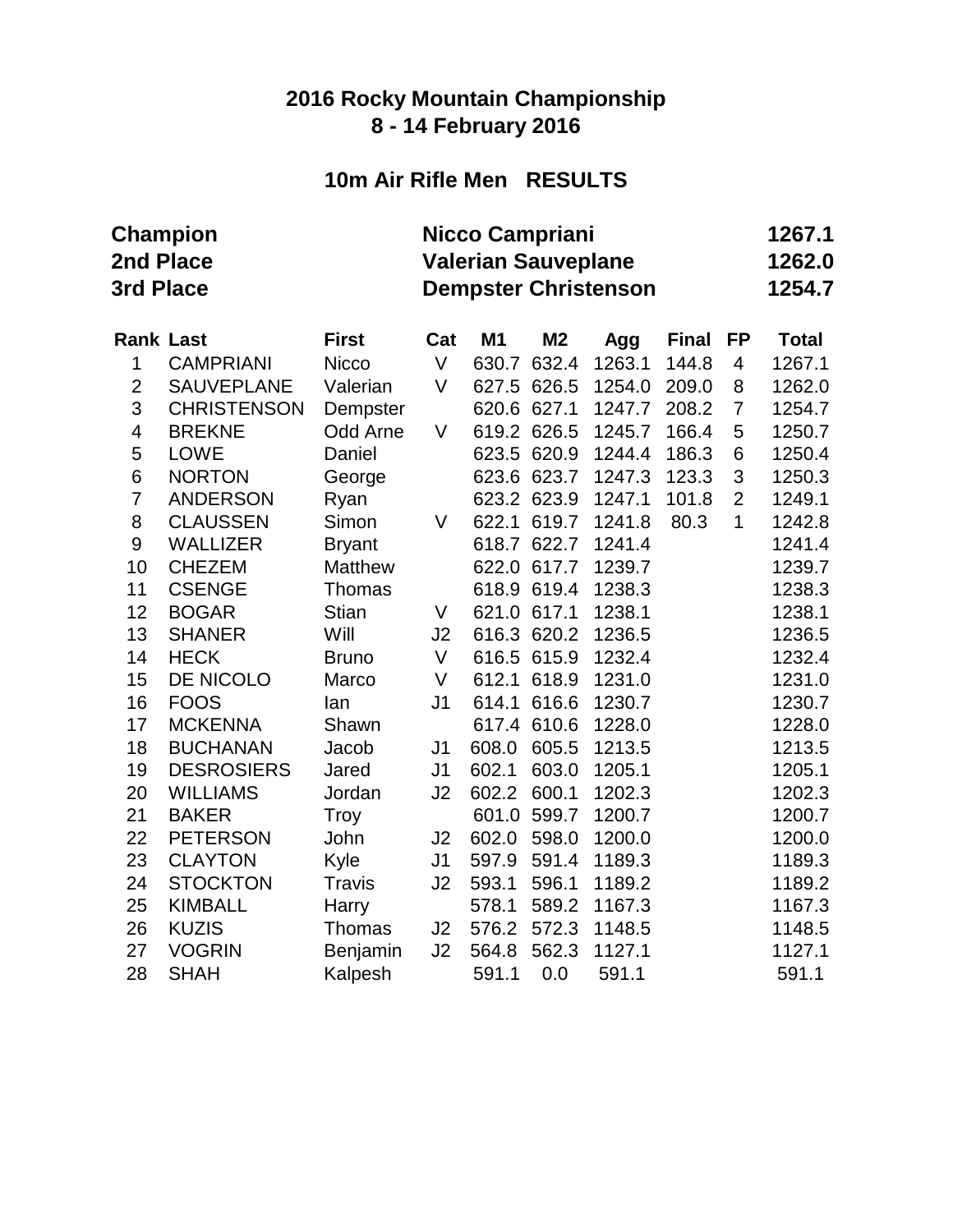# **10m Air Rifle Men RESULTS**

| 3rd Place        | Champion<br>2nd Place |               | Nicco Campriani<br><b>Valerian Sauveplane</b><br><b>Dempster Christenson</b> |           | 1267.1<br>1262.0<br>1254.7 |        |              |                |              |
|------------------|-----------------------|---------------|------------------------------------------------------------------------------|-----------|----------------------------|--------|--------------|----------------|--------------|
| <b>Rank Last</b> |                       | <b>First</b>  | Cat                                                                          | <b>M1</b> | M <sub>2</sub>             | Agg    | <b>Final</b> | <b>FP</b>      | <b>Total</b> |
| 1                | <b>CAMPRIANI</b>      | <b>Nicco</b>  | V                                                                            |           | 630.7 632.4                | 1263.1 | 144.8        | $\overline{4}$ | 1267.1       |
| $\overline{2}$   | <b>SAUVEPLANE</b>     | Valerian      | V                                                                            |           | 627.5 626.5                | 1254.0 | 209.0        | 8              | 1262.0       |
| 3                | <b>CHRISTENSON</b>    | Dempster      |                                                                              | 620.6     | 627.1                      | 1247.7 | 208.2        | $\overline{7}$ | 1254.7       |
| 4                | <b>BREKNE</b>         | Odd Arne      | V                                                                            |           | 619.2 626.5                | 1245.7 | 166.4        | 5              | 1250.7       |
| 5                | <b>LOWE</b>           | Daniel        |                                                                              |           | 623.5 620.9                | 1244.4 | 186.3        | 6              | 1250.4       |
| 6                | <b>NORTON</b>         | George        |                                                                              |           | 623.6 623.7                | 1247.3 | 123.3        | 3              | 1250.3       |
| $\overline{7}$   | <b>ANDERSON</b>       | Ryan          |                                                                              |           | 623.2 623.9                | 1247.1 | 101.8        | $\overline{2}$ | 1249.1       |
| 8                | <b>CLAUSSEN</b>       | Simon         | V                                                                            | 622.1     | 619.7                      | 1241.8 | 80.3         | $\mathbf{1}$   | 1242.8       |
| 9                | <b>WALLIZER</b>       | <b>Bryant</b> |                                                                              |           | 618.7 622.7                | 1241.4 |              |                | 1241.4       |
| 10               | <b>CHEZEM</b>         | Matthew       |                                                                              |           | 622.0 617.7                | 1239.7 |              |                | 1239.7       |
| 11               | <b>CSENGE</b>         | Thomas        |                                                                              |           | 618.9 619.4                | 1238.3 |              |                | 1238.3       |
| 12               | <b>BOGAR</b>          | <b>Stian</b>  | V                                                                            |           | 621.0 617.1                | 1238.1 |              |                | 1238.1       |
| 13               | <b>SHANER</b>         | Will          | J <sub>2</sub>                                                               |           | 616.3 620.2                | 1236.5 |              |                | 1236.5       |
| 14               | <b>HECK</b>           | <b>Bruno</b>  | $\vee$                                                                       |           | 616.5 615.9                | 1232.4 |              |                | 1232.4       |
| 15               | <b>DE NICOLO</b>      | Marco         | V                                                                            |           | 612.1 618.9                | 1231.0 |              |                | 1231.0       |
| 16               | <b>FOOS</b>           | lan           | J <sub>1</sub>                                                               | 614.1     | 616.6                      | 1230.7 |              |                | 1230.7       |
| 17               | <b>MCKENNA</b>        | Shawn         |                                                                              | 617.4     | 610.6                      | 1228.0 |              |                | 1228.0       |
| 18               | <b>BUCHANAN</b>       | Jacob         | J <sub>1</sub>                                                               | 608.0     | 605.5                      | 1213.5 |              |                | 1213.5       |
| 19               | <b>DESROSIERS</b>     | Jared         | J <sub>1</sub>                                                               | 602.1     | 603.0                      | 1205.1 |              |                | 1205.1       |
| 20               | <b>WILLIAMS</b>       | Jordan        | J2                                                                           | 602.2     | 600.1                      | 1202.3 |              |                | 1202.3       |
| 21               | <b>BAKER</b>          | Troy          |                                                                              | 601.0     | 599.7                      | 1200.7 |              |                | 1200.7       |
| 22               | <b>PETERSON</b>       | John          | J2                                                                           | 602.0     | 598.0                      | 1200.0 |              |                | 1200.0       |
| 23               | <b>CLAYTON</b>        | Kyle          | J <sub>1</sub>                                                               | 597.9     | 591.4                      | 1189.3 |              |                | 1189.3       |
| 24               | <b>STOCKTON</b>       | <b>Travis</b> | J2                                                                           | 593.1     | 596.1                      | 1189.2 |              |                | 1189.2       |
| 25               | <b>KIMBALL</b>        | Harry         |                                                                              | 578.1     | 589.2                      | 1167.3 |              |                | 1167.3       |
| 26               | <b>KUZIS</b>          | Thomas        | J2                                                                           | 576.2     | 572.3                      | 1148.5 |              |                | 1148.5       |
| 27               | <b>VOGRIN</b>         | Benjamin      | J2                                                                           | 564.8     | 562.3                      | 1127.1 |              |                | 1127.1       |
| 28               | <b>SHAH</b>           | Kalpesh       |                                                                              | 591.1     | 0.0                        | 591.1  |              |                | 591.1        |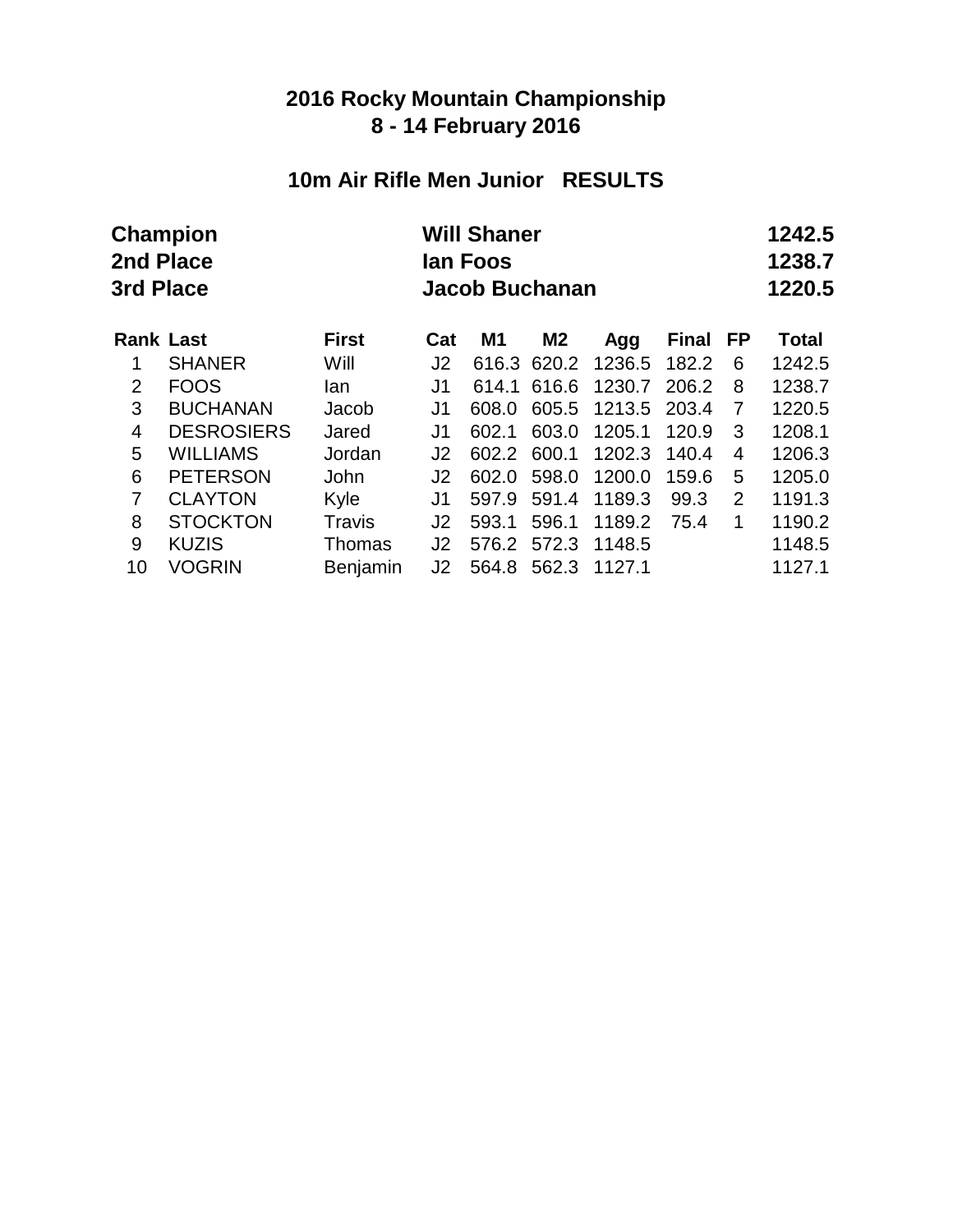## **10m Air Rifle Men Junior RESULTS**

| Champion<br>2nd Place<br>3rd Place |                 |     |       |                |                                            |                |             | 1242.5<br>1238.7<br>1220.5 |  |  |
|------------------------------------|-----------------|-----|-------|----------------|--------------------------------------------|----------------|-------------|----------------------------|--|--|
| <b>Rank Last</b>                   | <b>First</b>    | Cat | M1    | M <sub>2</sub> | Agg                                        | <b>Final</b>   | <b>FP</b>   | <b>Total</b>               |  |  |
| <b>SHANER</b>                      | Will            | J2  |       |                | 1236.5                                     | 182.2          | 6           | 1242.5                     |  |  |
| <b>FOOS</b>                        | lan             | J1  | 614.1 | 616.6          | 1230.7                                     | 206.2          | 8           | 1238.7                     |  |  |
| <b>BUCHANAN</b>                    | Jacob           | J1  | 608.0 | 605.5          | 1213.5                                     | 203.4          | 7           | 1220.5                     |  |  |
| <b>DESROSIERS</b>                  | Jared           | J1  | 602.1 | 603.0          | 1205.1                                     | 120.9          | 3           | 1208.1                     |  |  |
| <b>WILLIAMS</b>                    | Jordan          | J2  | 602.2 | 600.1          | 1202.3                                     | 140.4          | 4           | 1206.3                     |  |  |
| <b>PETERSON</b>                    | John            | J2  | 602.0 | 598.0          | 1200.0                                     | 159.6          | 5           | 1205.0                     |  |  |
| <b>CLAYTON</b>                     | Kyle            | J1  | 597.9 | 591.4          | 1189.3                                     | 99.3           | 2           | 1191.3                     |  |  |
| <b>STOCKTON</b>                    | Travis          | J2  | 593.1 | 596.1          | 1189.2                                     | 75.4           | $\mathbf 1$ | 1190.2                     |  |  |
| <b>KUZIS</b>                       | Thomas          | J2  |       | 572.3          | 1148.5                                     |                |             | 1148.5                     |  |  |
| <b>VOGRIN</b>                      | <b>Benjamin</b> | J2  | 564.8 | 562.3          | 1127.1                                     |                |             | 1127.1                     |  |  |
|                                    |                 |     |       | lan Foos       | <b>Will Shaner</b><br>616.3 620.2<br>576.2 | Jacob Buchanan |             |                            |  |  |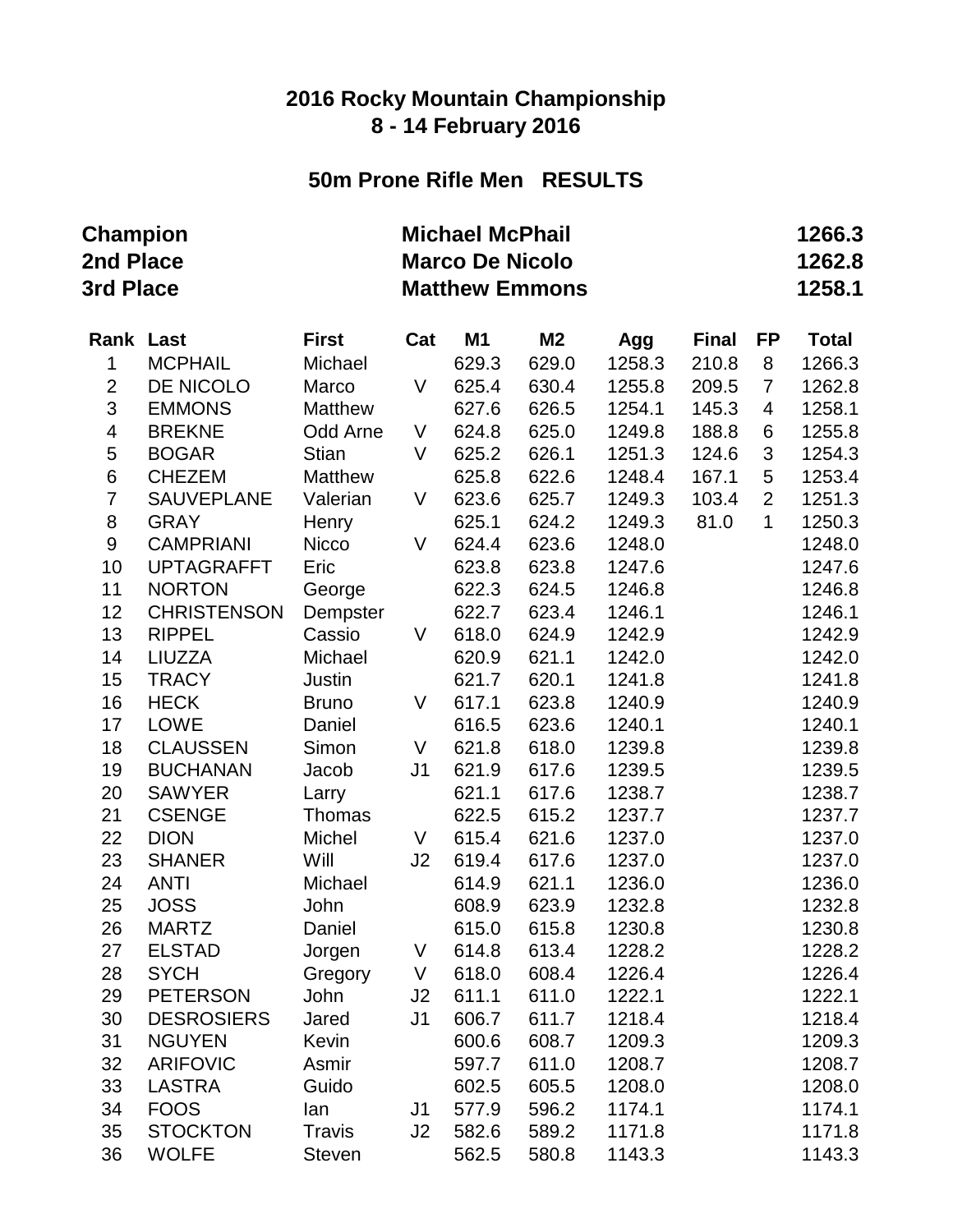#### **50m Prone Rifle Men RESULTS**

| Champion<br>2nd Place<br>3rd Place |                    |                 | <b>Michael McPhail</b><br><b>Marco De Nicolo</b><br><b>Matthew Emmons</b> |                |                |        |              |                |              |  |  |
|------------------------------------|--------------------|-----------------|---------------------------------------------------------------------------|----------------|----------------|--------|--------------|----------------|--------------|--|--|
| <b>Rank Last</b>                   |                    | <b>First</b>    | Cat                                                                       | M <sub>1</sub> | M <sub>2</sub> | Agg    | <b>Final</b> | FP             | <b>Total</b> |  |  |
| 1                                  | <b>MCPHAIL</b>     | Michael         |                                                                           | 629.3          | 629.0          | 1258.3 | 210.8        | 8              | 1266.3       |  |  |
| $\overline{2}$                     | DE NICOLO          | Marco           | V                                                                         | 625.4          | 630.4          | 1255.8 | 209.5        | $\overline{7}$ | 1262.8       |  |  |
| 3                                  | <b>EMMONS</b>      | <b>Matthew</b>  |                                                                           | 627.6          | 626.5          | 1254.1 | 145.3        | 4              | 1258.1       |  |  |
| 4                                  | <b>BREKNE</b>      | <b>Odd Arne</b> | V                                                                         | 624.8          | 625.0          | 1249.8 | 188.8        | 6              | 1255.8       |  |  |
| 5                                  | <b>BOGAR</b>       | Stian           | V                                                                         | 625.2          | 626.1          | 1251.3 | 124.6        | 3              | 1254.3       |  |  |
| 6                                  | <b>CHEZEM</b>      | Matthew         |                                                                           | 625.8          | 622.6          | 1248.4 | 167.1        | 5              | 1253.4       |  |  |
| $\overline{7}$                     | <b>SAUVEPLANE</b>  | Valerian        | V                                                                         | 623.6          | 625.7          | 1249.3 | 103.4        | $\overline{2}$ | 1251.3       |  |  |
| 8                                  | <b>GRAY</b>        | Henry           |                                                                           | 625.1          | 624.2          | 1249.3 | 81.0         | 1              | 1250.3       |  |  |
| 9                                  | <b>CAMPRIANI</b>   | <b>Nicco</b>    | V                                                                         | 624.4          | 623.6          | 1248.0 |              |                | 1248.0       |  |  |
| 10                                 | <b>UPTAGRAFFT</b>  | Eric            |                                                                           | 623.8          | 623.8          | 1247.6 |              |                | 1247.6       |  |  |
| 11                                 | <b>NORTON</b>      | George          |                                                                           | 622.3          | 624.5          | 1246.8 |              |                | 1246.8       |  |  |
| 12                                 | <b>CHRISTENSON</b> | Dempster        |                                                                           | 622.7          | 623.4          | 1246.1 |              |                | 1246.1       |  |  |
| 13                                 | <b>RIPPEL</b>      | Cassio          | V                                                                         | 618.0          | 624.9          | 1242.9 |              |                | 1242.9       |  |  |
| 14                                 | <b>LIUZZA</b>      | Michael         |                                                                           | 620.9          | 621.1          | 1242.0 |              |                | 1242.0       |  |  |
| 15                                 | <b>TRACY</b>       | Justin          |                                                                           | 621.7          | 620.1          | 1241.8 |              |                | 1241.8       |  |  |
| 16                                 | <b>HECK</b>        | <b>Bruno</b>    | V                                                                         | 617.1          | 623.8          | 1240.9 |              |                | 1240.9       |  |  |
| 17                                 | <b>LOWE</b>        | Daniel          |                                                                           | 616.5          | 623.6          | 1240.1 |              |                | 1240.1       |  |  |
| 18                                 | <b>CLAUSSEN</b>    | Simon           | V                                                                         | 621.8          | 618.0          | 1239.8 |              |                | 1239.8       |  |  |
| 19                                 | <b>BUCHANAN</b>    | Jacob           | J <sub>1</sub>                                                            | 621.9          | 617.6          | 1239.5 |              |                | 1239.5       |  |  |
| 20                                 | <b>SAWYER</b>      | Larry           |                                                                           | 621.1          | 617.6          | 1238.7 |              |                | 1238.7       |  |  |
| 21                                 | <b>CSENGE</b>      | Thomas          |                                                                           | 622.5          | 615.2          | 1237.7 |              |                | 1237.7       |  |  |
| 22                                 | <b>DION</b>        | Michel          | V                                                                         | 615.4          | 621.6          | 1237.0 |              |                | 1237.0       |  |  |
| 23                                 | <b>SHANER</b>      | Will            | J <sub>2</sub>                                                            | 619.4          | 617.6          | 1237.0 |              |                | 1237.0       |  |  |
| 24                                 | <b>ANTI</b>        | Michael         |                                                                           | 614.9          | 621.1          | 1236.0 |              |                | 1236.0       |  |  |
| 25                                 | <b>JOSS</b>        | John            |                                                                           | 608.9          | 623.9          | 1232.8 |              |                | 1232.8       |  |  |
| 26                                 | <b>MARTZ</b>       | Daniel          |                                                                           | 615.0          | 615.8          | 1230.8 |              |                | 1230.8       |  |  |
| 27                                 | <b>ELSTAD</b>      | Jorgen          | V                                                                         | 614.8          | 613.4          | 1228.2 |              |                | 1228.2       |  |  |
| 28                                 | <b>SYCH</b>        | Gregory         | V                                                                         | 618.0          | 608.4          | 1226.4 |              |                | 1226.4       |  |  |
| 29                                 | <b>PETERSON</b>    | John            | J <sub>2</sub>                                                            | 611.1          | 611.0          | 1222.1 |              |                | 1222.1       |  |  |
| 30                                 | <b>DESROSIERS</b>  | Jared           | J <sub>1</sub>                                                            | 606.7          | 611.7          | 1218.4 |              |                | 1218.4       |  |  |
| 31                                 | <b>NGUYEN</b>      | Kevin           |                                                                           | 600.6          | 608.7          | 1209.3 |              |                | 1209.3       |  |  |
| 32                                 | <b>ARIFOVIC</b>    | Asmir           |                                                                           | 597.7          | 611.0          | 1208.7 |              |                | 1208.7       |  |  |
| 33                                 | <b>LASTRA</b>      | Guido           |                                                                           | 602.5          | 605.5          | 1208.0 |              |                | 1208.0       |  |  |
| 34                                 | <b>FOOS</b>        | lan             | J <sub>1</sub>                                                            | 577.9          | 596.2          | 1174.1 |              |                | 1174.1       |  |  |
| 35                                 | <b>STOCKTON</b>    | <b>Travis</b>   | J <sub>2</sub>                                                            | 582.6          | 589.2          | 1171.8 |              |                | 1171.8       |  |  |
| 36                                 | <b>WOLFE</b>       | Steven          |                                                                           | 562.5          | 580.8          | 1143.3 |              |                | 1143.3       |  |  |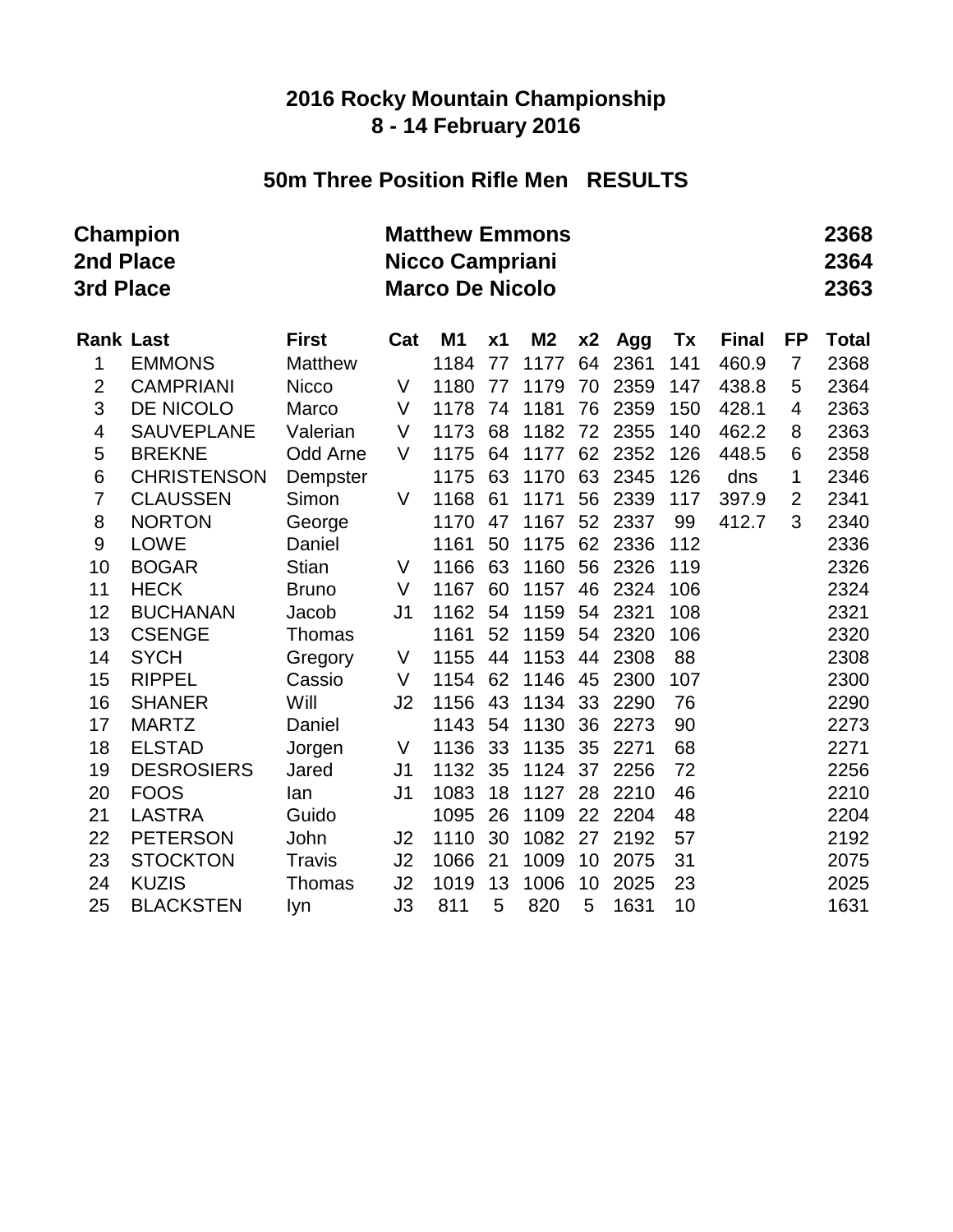#### **50m Three Position Rifle Men RESULTS**

|                         | Champion<br>2nd Place<br>3rd Place<br><b>Rank Last</b><br><b>First</b> |                 |                | <b>Matthew Emmons</b><br><b>Nicco Campriani</b><br><b>Marco De Nicolo</b> |                |                |    |      |     |              |                |              |
|-------------------------|------------------------------------------------------------------------|-----------------|----------------|---------------------------------------------------------------------------|----------------|----------------|----|------|-----|--------------|----------------|--------------|
|                         |                                                                        |                 | Cat            | M <sub>1</sub>                                                            | x <sub>1</sub> | M <sub>2</sub> | x2 | Agg  | Tx  | <b>Final</b> | <b>FP</b>      | <b>Total</b> |
| 1                       | <b>EMMONS</b>                                                          | <b>Matthew</b>  |                | 1184                                                                      | 77             | 1177           | 64 | 2361 | 141 | 460.9        | $\overline{7}$ | 2368         |
| $\overline{2}$          | <b>CAMPRIANI</b>                                                       | <b>Nicco</b>    | V              | 1180                                                                      | 77             | 1179           | 70 | 2359 | 147 | 438.8        | 5              | 2364         |
| 3                       | DE NICOLO                                                              | Marco           | V              | 1178                                                                      | 74             | 1181           | 76 | 2359 | 150 | 428.1        | $\overline{4}$ | 2363         |
| $\overline{\mathbf{4}}$ | <b>SAUVEPLANE</b>                                                      | Valerian        | V              | 1173                                                                      | 68             | 1182           | 72 | 2355 | 140 | 462.2        | 8              | 2363         |
| 5                       | <b>BREKNE</b>                                                          | <b>Odd Arne</b> | V              | 1175                                                                      | 64             | 1177           | 62 | 2352 | 126 | 448.5        | 6              | 2358         |
| 6                       | <b>CHRISTENSON</b>                                                     | Dempster        |                | 1175                                                                      | 63             | 1170           | 63 | 2345 | 126 | dns          | 1              | 2346         |
| $\overline{7}$          | <b>CLAUSSEN</b>                                                        | Simon           | V              | 1168                                                                      | 61             | 1171           | 56 | 2339 | 117 | 397.9        | $\overline{2}$ | 2341         |
| 8                       | <b>NORTON</b>                                                          | George          |                | 1170                                                                      | 47             | 1167           | 52 | 2337 | 99  | 412.7        | 3              | 2340         |
| $\overline{9}$          | <b>LOWE</b>                                                            | Daniel          |                | 1161                                                                      | 50             | 1175           | 62 | 2336 | 112 |              |                | 2336         |
| 10                      | <b>BOGAR</b>                                                           | <b>Stian</b>    | V              | 1166                                                                      | 63             | 1160           | 56 | 2326 | 119 |              |                | 2326         |
| 11                      | <b>HECK</b>                                                            | <b>Bruno</b>    | V              | 1167                                                                      | 60             | 1157           | 46 | 2324 | 106 |              |                | 2324         |
| 12                      | <b>BUCHANAN</b>                                                        | Jacob           | J <sub>1</sub> | 1162                                                                      | 54             | 1159           | 54 | 2321 | 108 |              |                | 2321         |
| 13                      | <b>CSENGE</b>                                                          | Thomas          |                | 1161                                                                      | 52             | 1159           | 54 | 2320 | 106 |              |                | 2320         |
| 14                      | <b>SYCH</b>                                                            | Gregory         | V              | 1155                                                                      | 44             | 1153           | 44 | 2308 | 88  |              |                | 2308         |
| 15                      | <b>RIPPEL</b>                                                          | Cassio          | V              | 1154                                                                      | 62             | 1146           | 45 | 2300 | 107 |              |                | 2300         |
| 16                      | <b>SHANER</b>                                                          | Will            | J2             | 1156                                                                      | 43             | 1134           | 33 | 2290 | 76  |              |                | 2290         |
| 17                      | <b>MARTZ</b>                                                           | Daniel          |                | 1143                                                                      | 54             | 1130           | 36 | 2273 | 90  |              |                | 2273         |
| 18                      | <b>ELSTAD</b>                                                          | Jorgen          | V              | 1136                                                                      | 33             | 1135           | 35 | 2271 | 68  |              |                | 2271         |
| 19                      | <b>DESROSIERS</b>                                                      | Jared           | J <sub>1</sub> | 1132                                                                      | 35             | 1124           | 37 | 2256 | 72  |              |                | 2256         |
| 20                      | <b>FOOS</b>                                                            | lan             | J <sub>1</sub> | 1083                                                                      | 18             | 1127           | 28 | 2210 | 46  |              |                | 2210         |
| 21                      | <b>LASTRA</b>                                                          | Guido           |                | 1095                                                                      | 26             | 1109           | 22 | 2204 | 48  |              |                | 2204         |
| 22                      | <b>PETERSON</b>                                                        | John            | J2             | 1110                                                                      | 30             | 1082           | 27 | 2192 | 57  |              |                | 2192         |
| 23                      | <b>STOCKTON</b>                                                        | <b>Travis</b>   | J2             | 1066                                                                      | 21             | 1009           | 10 | 2075 | 31  |              |                | 2075         |
| 24                      | <b>KUZIS</b>                                                           | Thomas          | J2             | 1019                                                                      | 13             | 1006           | 10 | 2025 | 23  |              |                | 2025         |
| 25                      | <b>BLACKSTEN</b>                                                       | Iyn             | J3             | 811                                                                       | 5              | 820            | 5  | 1631 | 10  |              |                | 1631         |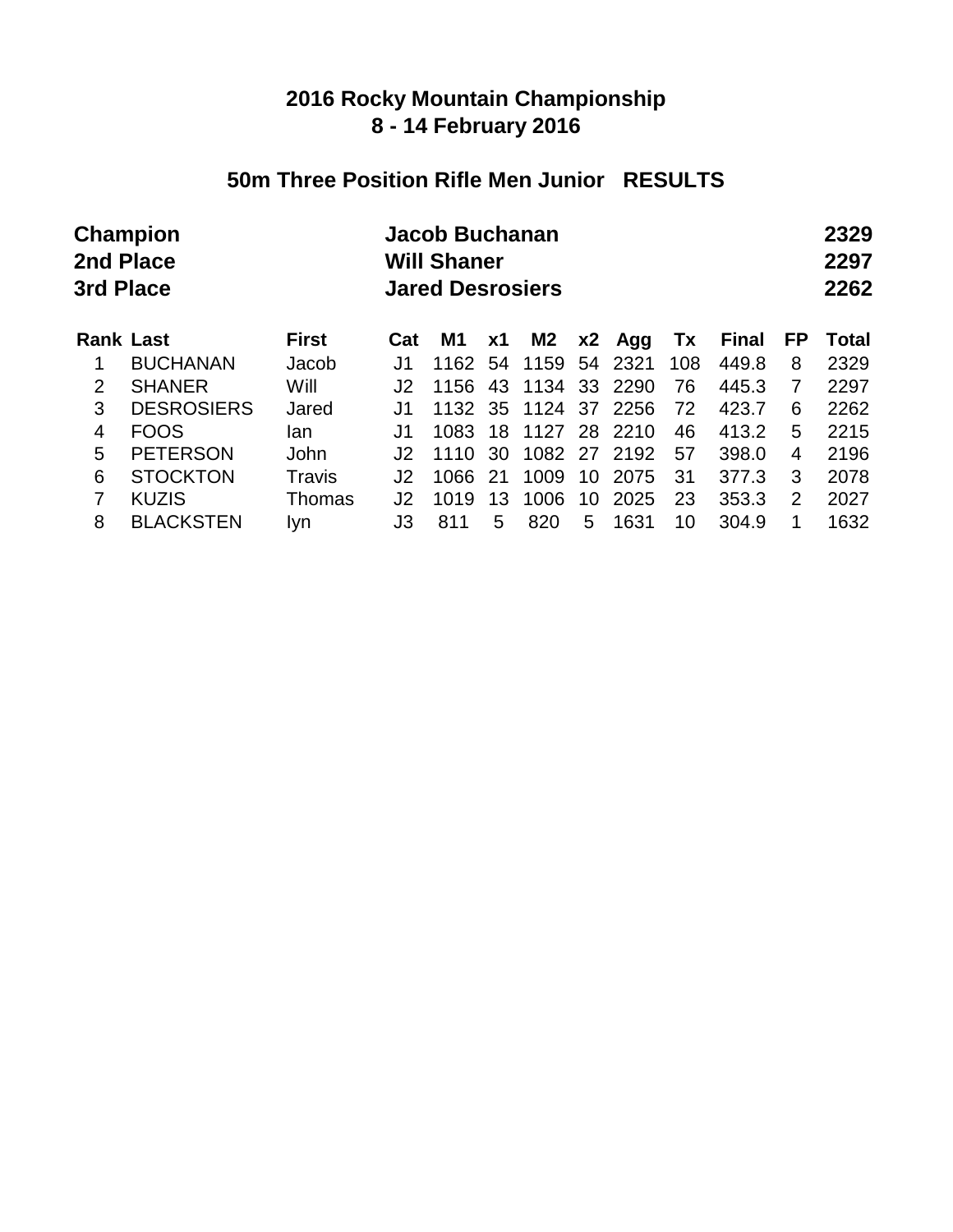#### **50m Three Position Rifle Men Junior RESULTS**

| 2nd Place<br>3rd Place | Champion          |              |     | Jacob Buchanan<br><b>Will Shaner</b><br><b>Jared Desrosiers</b> |       |                |     |      |     |              |           | 2329<br>2297<br>2262 |  |
|------------------------|-------------------|--------------|-----|-----------------------------------------------------------------|-------|----------------|-----|------|-----|--------------|-----------|----------------------|--|
| <b>Rank Last</b>       |                   | <b>First</b> | Cat | M1                                                              | $x_1$ | M <sub>2</sub> | x2  | Agg  | Tx  | <b>Final</b> | <b>FP</b> | <b>Total</b>         |  |
| 1                      | <b>BUCHANAN</b>   | Jacob        | J1  | 1162                                                            | 54    | 1159           | 54  | 2321 | 108 | 449.8        | 8         | 2329                 |  |
| 2                      | <b>SHANER</b>     | Will         | J2  | 1156                                                            | 43    | 1134           | 33  | 2290 | 76  | 445.3        | 7         | 2297                 |  |
| 3                      | <b>DESROSIERS</b> | Jared        | J1  | 1132 35                                                         |       | 1124           | 37  | 2256 | 72  | 423.7        | 6         | 2262                 |  |
| 4                      | <b>FOOS</b>       | lan          | J1  | 1083                                                            | 18    | 1127           | -28 | 2210 | 46  | 413.2        | 5         | 2215                 |  |
| 5                      | <b>PETERSON</b>   | <b>John</b>  | J2  | 1110                                                            | 30    | 1082 27        |     | 2192 | 57  | 398.0        | 4         | 2196                 |  |
| 6                      | <b>STOCKTON</b>   | Travis       | J2  | 1066                                                            | 21    | 1009           | 10  | 2075 | 31  | 377.3        | 3         | 2078                 |  |
| 7                      | <b>KUZIS</b>      | Thomas       | J2  | 1019                                                            | 13    | 1006           | 10  | 2025 | 23  | 353.3        | 2         | 2027                 |  |
| 8                      | <b>BLACKSTEN</b>  | lyn          | J3  | 811                                                             | 5     | 820            | 5   | 1631 | 10  | 304.9        | 1         | 1632                 |  |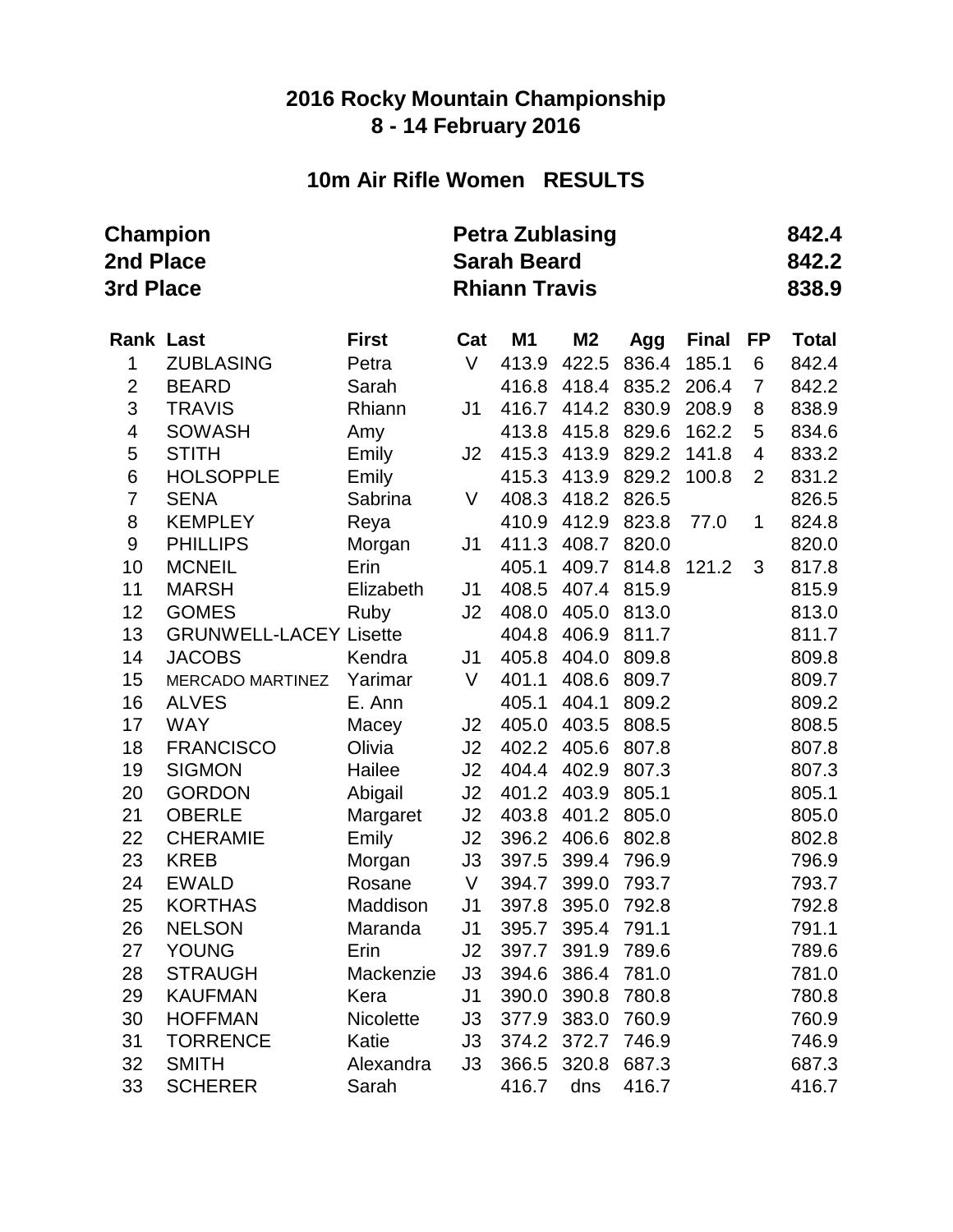# **10m Air Rifle Women RESULTS**

| Champion<br>2nd Place |                         |                  | <b>Petra Zublasing</b><br><b>Sarah Beard</b> |                      |                |       |              |                |              |
|-----------------------|-------------------------|------------------|----------------------------------------------|----------------------|----------------|-------|--------------|----------------|--------------|
| 3rd Place             |                         |                  |                                              | <b>Rhiann Travis</b> |                |       |              |                | 838.9        |
| <b>Rank Last</b>      |                         | <b>First</b>     | Cat                                          | M1                   | M <sub>2</sub> | Agg   | <b>Final</b> | <b>FP</b>      | <b>Total</b> |
| 1                     | <b>ZUBLASING</b>        | Petra            | V                                            | 413.9                | 422.5          | 836.4 | 185.1        | 6              | 842.4        |
| $\overline{2}$        | <b>BEARD</b>            | Sarah            |                                              | 416.8                | 418.4          | 835.2 | 206.4        | $\overline{7}$ | 842.2        |
| 3                     | <b>TRAVIS</b>           | Rhiann           | J1                                           | 416.7                | 414.2          | 830.9 | 208.9        | 8              | 838.9        |
| 4                     | <b>SOWASH</b>           | Amy              |                                              | 413.8                | 415.8          | 829.6 | 162.2        | 5              | 834.6        |
| 5                     | <b>STITH</b>            | Emily            | J <sub>2</sub>                               | 415.3                | 413.9          | 829.2 | 141.8        | 4              | 833.2        |
| 6                     | <b>HOLSOPPLE</b>        | Emily            |                                              | 415.3                | 413.9          | 829.2 | 100.8        | $\overline{2}$ | 831.2        |
| 7                     | <b>SENA</b>             | Sabrina          | V                                            | 408.3                | 418.2 826.5    |       |              |                | 826.5        |
| 8                     | <b>KEMPLEY</b>          | Reya             |                                              | 410.9                | 412.9          | 823.8 | 77.0         | 1              | 824.8        |
| 9                     | <b>PHILLIPS</b>         | Morgan           | J <sub>1</sub>                               | 411.3                | 408.7          | 820.0 |              |                | 820.0        |
| 10                    | <b>MCNEIL</b>           | Erin             |                                              | 405.1                | 409.7          | 814.8 | 121.2        | 3              | 817.8        |
| 11                    | <b>MARSH</b>            | Elizabeth        | J1                                           | 408.5                | 407.4          | 815.9 |              |                | 815.9        |
| 12                    | <b>GOMES</b>            | Ruby             | J2                                           | 408.0                | 405.0          | 813.0 |              |                | 813.0        |
| 13                    | <b>GRUNWELL-LACEY</b>   | Lisette          |                                              | 404.8                | 406.9          | 811.7 |              |                | 811.7        |
| 14                    | <b>JACOBS</b>           | Kendra           | J1                                           | 405.8                | 404.0          | 809.8 |              |                | 809.8        |
| 15                    | <b>MERCADO MARTINEZ</b> | Yarimar          | V                                            | 401.1                | 408.6          | 809.7 |              |                | 809.7        |
| 16                    | <b>ALVES</b>            | E. Ann           |                                              | 405.1                | 404.1          | 809.2 |              |                | 809.2        |
| 17                    | <b>WAY</b>              | Macey            | J2                                           | 405.0                | 403.5          | 808.5 |              |                | 808.5        |
| 18                    | <b>FRANCISCO</b>        | Olivia           | J2                                           | 402.2                | 405.6          | 807.8 |              |                | 807.8        |
| 19                    | <b>SIGMON</b>           | Hailee           | J2                                           | 404.4                | 402.9          | 807.3 |              |                | 807.3        |
| 20                    | <b>GORDON</b>           | Abigail          | J2                                           | 401.2                | 403.9          | 805.1 |              |                | 805.1        |
| 21                    | <b>OBERLE</b>           | Margaret         | J2                                           | 403.8                | 401.2          | 805.0 |              |                | 805.0        |
| 22                    | <b>CHERAMIE</b>         | Emily            | J2                                           | 396.2                | 406.6          | 802.8 |              |                | 802.8        |
| 23                    | <b>KREB</b>             | Morgan           | J3                                           | 397.5                | 399.4          | 796.9 |              |                | 796.9        |
| 24                    | <b>EWALD</b>            | Rosane           | V                                            | 394.7                | 399.0          | 793.7 |              |                | 793.7        |
| 25                    | <b>KORTHAS</b>          | Maddison         | J <sub>1</sub>                               | 397.8                | 395.0          | 792.8 |              |                | 792.8        |
| 26                    | <b>NELSON</b>           | Maranda          | J1                                           | 395.7                | 395.4          | 791.1 |              |                | 791.1        |
| 27                    | <b>YOUNG</b>            | Erin             | J2                                           | 397.7                | 391.9          | 789.6 |              |                | 789.6        |
| 28                    | <b>STRAUGH</b>          | Mackenzie        | J3                                           | 394.6                | 386.4          | 781.0 |              |                | 781.0        |
| 29                    | <b>KAUFMAN</b>          | Kera             | J <sub>1</sub>                               | 390.0                | 390.8          | 780.8 |              |                | 780.8        |
| 30                    | <b>HOFFMAN</b>          | <b>Nicolette</b> | J3                                           | 377.9                | 383.0          | 760.9 |              |                | 760.9        |
| 31                    | <b>TORRENCE</b>         | Katie            | J3                                           | 374.2                | 372.7          | 746.9 |              |                | 746.9        |
| 32                    | <b>SMITH</b>            | Alexandra        | J3                                           | 366.5                | 320.8          | 687.3 |              |                | 687.3        |
| 33                    | <b>SCHERER</b>          | Sarah            |                                              | 416.7                | dns            | 416.7 |              |                | 416.7        |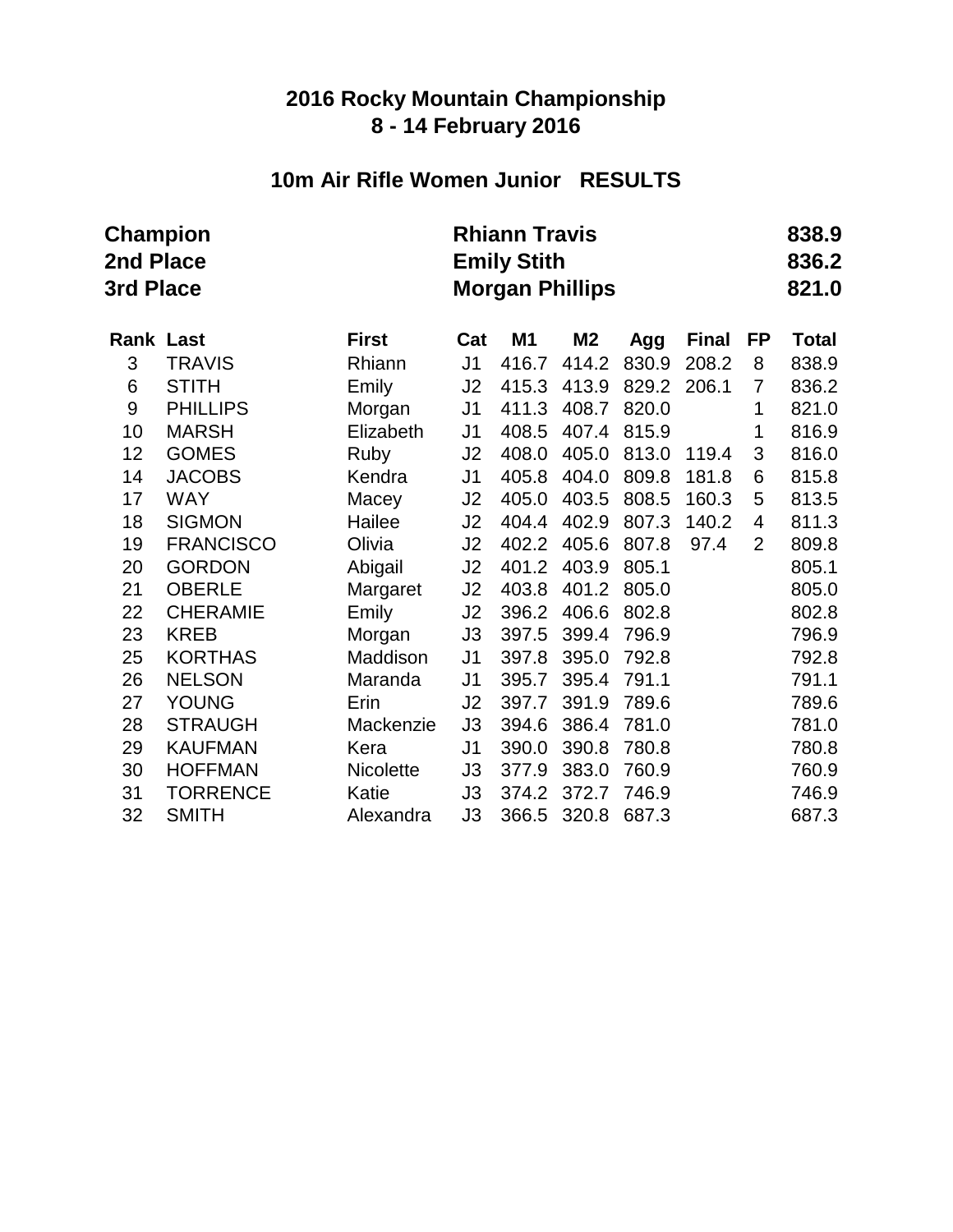#### **10m Air Rifle Women Junior RESULTS**

| <b>Champion</b><br>2nd Place<br>3rd Place |                  |              | <b>Rhiann Travis</b><br><b>Emily Stith</b><br><b>Morgan Phillips</b> |                |                |       |              |                |              |  |
|-------------------------------------------|------------------|--------------|----------------------------------------------------------------------|----------------|----------------|-------|--------------|----------------|--------------|--|
| <b>Rank Last</b>                          |                  | <b>First</b> | Cat                                                                  | M <sub>1</sub> | M <sub>2</sub> | Agg   | <b>Final</b> | <b>FP</b>      | <b>Total</b> |  |
| 3                                         | <b>TRAVIS</b>    | Rhiann       | J <sub>1</sub>                                                       | 416.7          | 414.2          | 830.9 | 208.2        | 8              | 838.9        |  |
| 6                                         | <b>STITH</b>     | Emily        | J2                                                                   | 415.3          | 413.9          | 829.2 | 206.1        | $\overline{7}$ | 836.2        |  |
| 9                                         | <b>PHILLIPS</b>  | Morgan       | J <sub>1</sub>                                                       | 411.3          | 408.7          | 820.0 |              | 1              | 821.0        |  |
| 10                                        | <b>MARSH</b>     | Elizabeth    | J <sub>1</sub>                                                       | 408.5          | 407.4          | 815.9 |              | 1              | 816.9        |  |
| 12                                        | <b>GOMES</b>     | Ruby         | J2                                                                   | 408.0          | 405.0          | 813.0 | 119.4        | 3              | 816.0        |  |
| 14                                        | <b>JACOBS</b>    | Kendra       | J1                                                                   | 405.8          | 404.0          | 809.8 | 181.8        | 6              | 815.8        |  |
| 17                                        | <b>WAY</b>       | Macey        | J2                                                                   | 405.0          | 403.5          | 808.5 | 160.3        | 5              | 813.5        |  |
| 18                                        | <b>SIGMON</b>    | Hailee       | J2                                                                   | 404.4          | 402.9          | 807.3 | 140.2        | 4              | 811.3        |  |
| 19                                        | <b>FRANCISCO</b> | Olivia       | J2                                                                   | 402.2          | 405.6          | 807.8 | 97.4         | $\overline{2}$ | 809.8        |  |
| 20                                        | <b>GORDON</b>    | Abigail      | J2                                                                   | 401.2          | 403.9          | 805.1 |              |                | 805.1        |  |
| 21                                        | <b>OBERLE</b>    | Margaret     | J2                                                                   | 403.8          | 401.2          | 805.0 |              |                | 805.0        |  |
| 22                                        | <b>CHERAMIE</b>  | Emily        | J2                                                                   | 396.2          | 406.6          | 802.8 |              |                | 802.8        |  |
| 23                                        | <b>KREB</b>      | Morgan       | J3                                                                   | 397.5          | 399.4          | 796.9 |              |                | 796.9        |  |
| 25                                        | <b>KORTHAS</b>   | Maddison     | J <sub>1</sub>                                                       | 397.8          | 395.0          | 792.8 |              |                | 792.8        |  |
| 26                                        | <b>NELSON</b>    | Maranda      | J1                                                                   | 395.7          | 395.4          | 791.1 |              |                | 791.1        |  |
| 27                                        | <b>YOUNG</b>     | Erin         | J <sub>2</sub>                                                       | 397.7          | 391.9          | 789.6 |              |                | 789.6        |  |
| 28                                        | <b>STRAUGH</b>   | Mackenzie    | J3                                                                   | 394.6          | 386.4          | 781.0 |              |                | 781.0        |  |
| 29                                        | <b>KAUFMAN</b>   | Kera         | J <sub>1</sub>                                                       | 390.0          | 390.8          | 780.8 |              |                | 780.8        |  |
| 30                                        | <b>HOFFMAN</b>   | Nicolette    | J3                                                                   | 377.9          | 383.0          | 760.9 |              |                | 760.9        |  |
| 31                                        | <b>TORRENCE</b>  | Katie        | J3                                                                   | 374.2          | 372.7          | 746.9 |              |                | 746.9        |  |
| 32                                        | <b>SMITH</b>     | Alexandra    | J3                                                                   | 366.5          | 320.8          | 687.3 |              |                | 687.3        |  |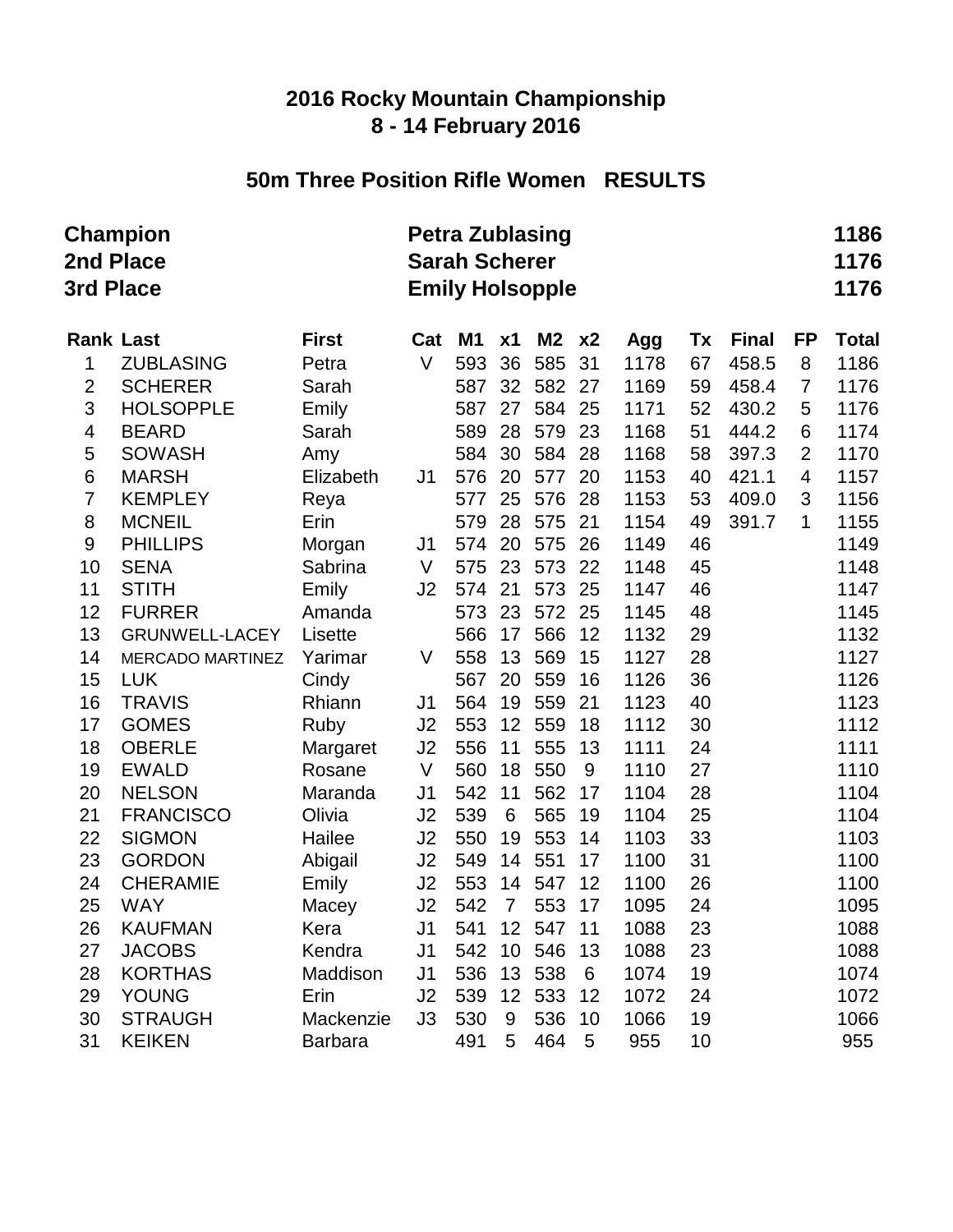## **50m Three Position Rifle Women RESULTS**

| Champion<br>2nd Place<br>3rd Place |                         |                | <b>Petra Zublasing</b><br><b>Sarah Scherer</b><br><b>Emily Holsopple</b> |     |                 |                |       |      |    |              |                          | 1186<br>1176<br>1176 |
|------------------------------------|-------------------------|----------------|--------------------------------------------------------------------------|-----|-----------------|----------------|-------|------|----|--------------|--------------------------|----------------------|
| <b>Rank Last</b>                   |                         | <b>First</b>   | Cat                                                                      | M1  | x <sub>1</sub>  | M <sub>2</sub> | x2    | Agg  | Tx | <b>Final</b> | FP                       | <b>Total</b>         |
| 1                                  | <b>ZUBLASING</b>        | Petra          | V                                                                        | 593 | 36              | 585            | 31    | 1178 | 67 | 458.5        | 8                        | 1186                 |
| $\mathbf{2}$                       | <b>SCHERER</b>          | Sarah          |                                                                          | 587 | 32              | 582            | 27    | 1169 | 59 | 458.4        | 7                        | 1176                 |
| 3                                  | <b>HOLSOPPLE</b>        | Emily          |                                                                          | 587 | 27              | 584            | 25    | 1171 | 52 | 430.2        | 5                        | 1176                 |
| 4                                  | <b>BEARD</b>            | Sarah          |                                                                          | 589 | 28              | 579            | 23    | 1168 | 51 | 444.2        | 6                        | 1174                 |
| 5                                  | <b>SOWASH</b>           | Amy            |                                                                          | 584 | 30              | 584            | 28    | 1168 | 58 | 397.3        | $\overline{2}$           | 1170                 |
| 6                                  | <b>MARSH</b>            | Elizabeth      | J1                                                                       | 576 | 20              | 577            | 20    | 1153 | 40 | 421.1        | $\overline{\mathcal{A}}$ | 1157                 |
| $\overline{7}$                     | <b>KEMPLEY</b>          | Reya           |                                                                          | 577 | 25              | 576            | 28    | 1153 | 53 | 409.0        | 3                        | 1156                 |
| 8                                  | <b>MCNEIL</b>           | Erin           |                                                                          | 579 | 28              | 575            | 21    | 1154 | 49 | 391.7        | 1                        | 1155                 |
| $\boldsymbol{9}$                   | <b>PHILLIPS</b>         | Morgan         | J1                                                                       | 574 | 20              | 575            | 26    | 1149 | 46 |              |                          | 1149                 |
| 10                                 | <b>SENA</b>             | Sabrina        | V                                                                        | 575 | 23              | 573            | 22    | 1148 | 45 |              |                          | 1148                 |
| 11                                 | <b>STITH</b>            | Emily          | J2                                                                       | 574 | 21              | 573            | 25    | 1147 | 46 |              |                          | 1147                 |
| 12                                 | <b>FURRER</b>           | Amanda         |                                                                          | 573 | 23              | 572            | 25    | 1145 | 48 |              |                          | 1145                 |
| 13                                 | <b>GRUNWELL-LACEY</b>   | Lisette        |                                                                          | 566 | 17              | 566            | 12    | 1132 | 29 |              |                          | 1132                 |
| 14                                 | <b>MERCADO MARTINEZ</b> | Yarimar        | V                                                                        | 558 | 13              | 569            | 15    | 1127 | 28 |              |                          | 1127                 |
| 15                                 | <b>LUK</b>              | Cindy          |                                                                          | 567 | 20              | 559            | 16    | 1126 | 36 |              |                          | 1126                 |
| 16                                 | <b>TRAVIS</b>           | Rhiann         | J1                                                                       | 564 | 19              | 559            | 21    | 1123 | 40 |              |                          | 1123                 |
| 17                                 | <b>GOMES</b>            | Ruby           | J2                                                                       | 553 | 12              | 559            | 18    | 1112 | 30 |              |                          | 1112                 |
| 18                                 | <b>OBERLE</b>           | Margaret       | J <sub>2</sub>                                                           | 556 | 11              | 555            | 13    | 1111 | 24 |              |                          | 1111                 |
| 19                                 | <b>EWALD</b>            | Rosane         | V                                                                        | 560 | 18              | 550            | $9\,$ | 1110 | 27 |              |                          | 1110                 |
| 20                                 | <b>NELSON</b>           | Maranda        | J <sub>1</sub>                                                           | 542 | 11              | 562            | 17    | 1104 | 28 |              |                          | 1104                 |
| 21                                 | <b>FRANCISCO</b>        | Olivia         | J2                                                                       | 539 | $6\phantom{1}6$ | 565            | 19    | 1104 | 25 |              |                          | 1104                 |
| 22                                 | <b>SIGMON</b>           | Hailee         | J <sub>2</sub>                                                           | 550 | 19              | 553            | 14    | 1103 | 33 |              |                          | 1103                 |
| 23                                 | <b>GORDON</b>           | Abigail        | J2                                                                       | 549 | 14              | 551            | 17    | 1100 | 31 |              |                          | 1100                 |
| 24                                 | <b>CHERAMIE</b>         | Emily          | J2                                                                       | 553 | 14              | 547            | 12    | 1100 | 26 |              |                          | 1100                 |
| 25                                 | <b>WAY</b>              | Macey          | J2                                                                       | 542 | $\overline{7}$  | 553            | 17    | 1095 | 24 |              |                          | 1095                 |
| 26                                 | <b>KAUFMAN</b>          | Kera           | J <sub>1</sub>                                                           | 541 | $12 \,$         | 547            | 11    | 1088 | 23 |              |                          | 1088                 |
| 27                                 | <b>JACOBS</b>           | Kendra         | J1                                                                       | 542 | 10              | 546            | 13    | 1088 | 23 |              |                          | 1088                 |
| 28                                 | <b>KORTHAS</b>          | Maddison       | J1                                                                       | 536 | 13              | 538            | 6     | 1074 | 19 |              |                          | 1074                 |
| 29                                 | <b>YOUNG</b>            | Erin           | J2                                                                       | 539 | 12              | 533            | 12    | 1072 | 24 |              |                          | 1072                 |
| 30                                 | <b>STRAUGH</b>          | Mackenzie      | J3                                                                       | 530 | 9               | 536            | 10    | 1066 | 19 |              |                          | 1066                 |
| 31                                 | <b>KEIKEN</b>           | <b>Barbara</b> |                                                                          | 491 | 5               | 464            | 5     | 955  | 10 |              |                          | 955                  |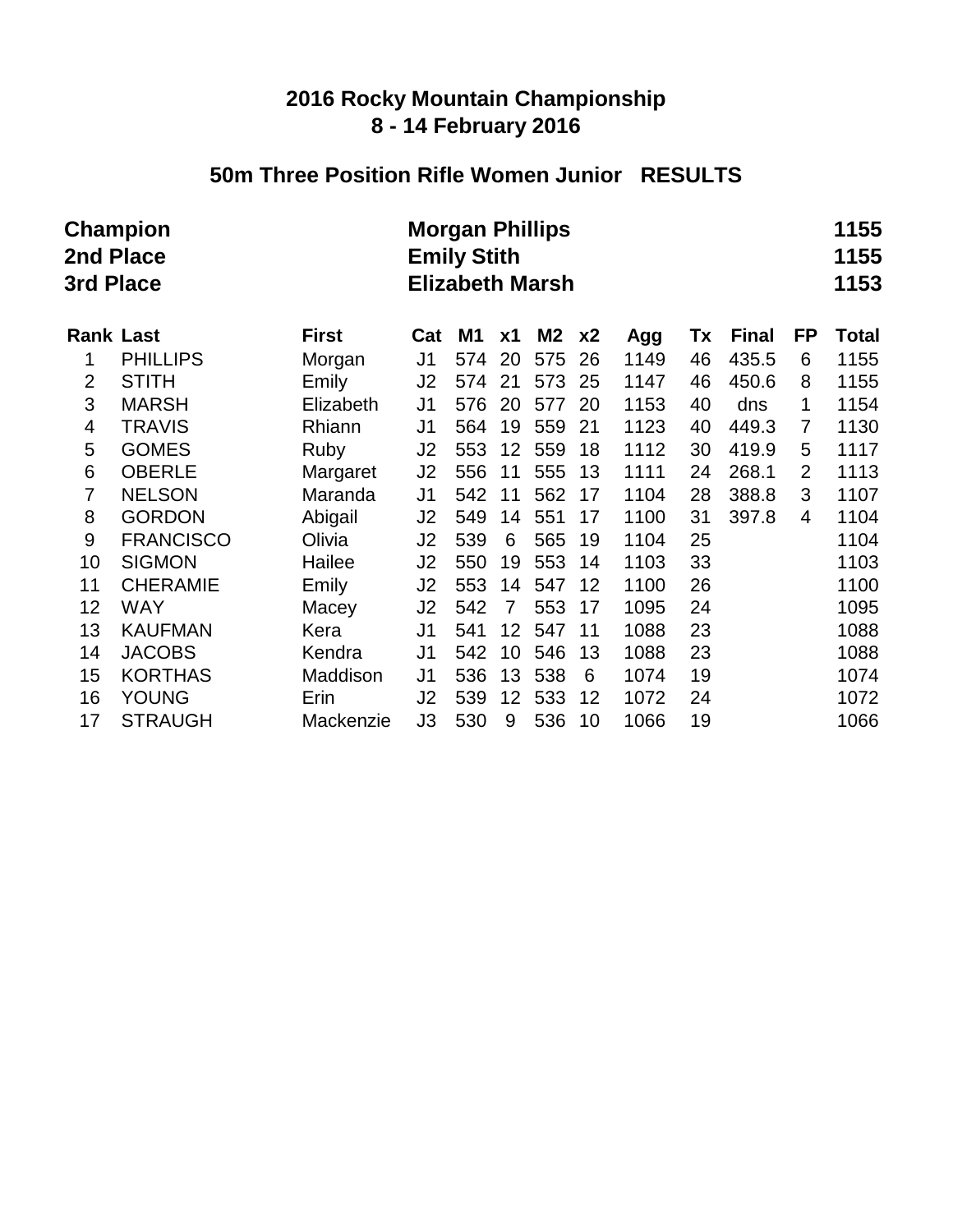#### **50m Three Position Rifle Women Junior RESULTS**

|                  | <b>Champion</b><br>2nd Place<br>3rd Place |              |                | <b>Morgan Phillips</b><br><b>Emily Stith</b><br><b>Elizabeth Marsh</b> |                |                |                |      |    |              |                |       |  |
|------------------|-------------------------------------------|--------------|----------------|------------------------------------------------------------------------|----------------|----------------|----------------|------|----|--------------|----------------|-------|--|
| <b>Rank Last</b> |                                           | <b>First</b> | Cat            | M1                                                                     | x1             | M <sub>2</sub> | x <sub>2</sub> | Agg  | Tx | <b>Final</b> | FP             | Total |  |
| 1                | <b>PHILLIPS</b>                           | Morgan       | J1             | 574                                                                    | 20             | 575            | 26             | 1149 | 46 | 435.5        | 6              | 1155  |  |
| $\overline{2}$   | <b>STITH</b>                              | Emily        | J <sub>2</sub> | 574                                                                    | 21             | 573            | 25             | 1147 | 46 | 450.6        | 8              | 1155  |  |
| 3                | <b>MARSH</b>                              | Elizabeth    | J1             | 576                                                                    | 20             | 577            | 20             | 1153 | 40 | dns          | $\mathbf{1}$   | 1154  |  |
| 4                | <b>TRAVIS</b>                             | Rhiann       | J1             | 564                                                                    | 19             | 559            | 21             | 1123 | 40 | 449.3        | $\overline{7}$ | 1130  |  |
| 5                | <b>GOMES</b>                              | Ruby         | J <sub>2</sub> | 553                                                                    | 12             | 559            | 18             | 1112 | 30 | 419.9        | 5              | 1117  |  |
| 6                | <b>OBERLE</b>                             | Margaret     | J2             | 556                                                                    | 11             | 555            | 13             | 1111 | 24 | 268.1        | 2              | 1113  |  |
| $\overline{7}$   | <b>NELSON</b>                             | Maranda      | J <sub>1</sub> | 542                                                                    | 11             | 562            | 17             | 1104 | 28 | 388.8        | 3              | 1107  |  |
| 8                | <b>GORDON</b>                             | Abigail      | J2             | 549                                                                    | 14             | 551            | 17             | 1100 | 31 | 397.8        | 4              | 1104  |  |
| $9\,$            | <b>FRANCISCO</b>                          | Olivia       | J <sub>2</sub> | 539                                                                    | 6              | 565            | 19             | 1104 | 25 |              |                | 1104  |  |
| 10               | <b>SIGMON</b>                             | Hailee       | J <sub>2</sub> | 550                                                                    | 19             | 553            | 14             | 1103 | 33 |              |                | 1103  |  |
| 11               | <b>CHERAMIE</b>                           | Emily        | J2             | 553                                                                    | 14             | 547            | 12             | 1100 | 26 |              |                | 1100  |  |
| 12               | <b>WAY</b>                                | Macey        | J <sub>2</sub> | 542                                                                    | $\overline{7}$ | 553            | 17             | 1095 | 24 |              |                | 1095  |  |
| 13               | <b>KAUFMAN</b>                            | Kera         | J1             | 541                                                                    | 12             | 547            | 11             | 1088 | 23 |              |                | 1088  |  |
| 14               | <b>JACOBS</b>                             | Kendra       | J1             | 542                                                                    | 10             | 546            | 13             | 1088 | 23 |              |                | 1088  |  |
| 15               | <b>KORTHAS</b>                            | Maddison     | J1             | 536                                                                    | 13             | 538            | 6              | 1074 | 19 |              |                | 1074  |  |
| 16               | <b>YOUNG</b>                              | Erin         | J <sub>2</sub> | 539                                                                    | 12             | 533            | 12             | 1072 | 24 |              |                | 1072  |  |
| 17               | <b>STRAUGH</b>                            | Mackenzie    | J3             | 530                                                                    | 9              | 536            | 10             | 1066 | 19 |              |                | 1066  |  |